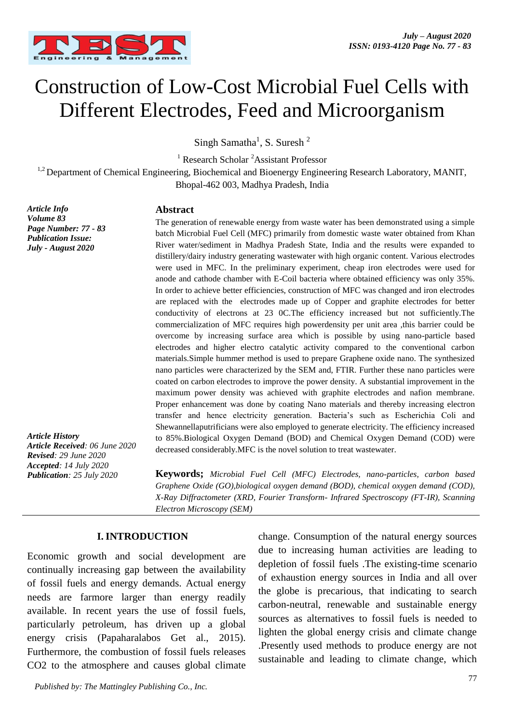

# Construction of Low-Cost Microbial Fuel Cells with Different Electrodes, Feed and Microorganism

Singh Samatha<sup>1</sup>, S. Suresh<sup>2</sup>

<sup>1</sup> Research Scholar  ${}^{2}$ Assistant Professor

<sup>1,2</sup> Department of Chemical Engineering, Biochemical and Bioenergy Engineering Research Laboratory, MANIT, Bhopal-462 003, Madhya Pradesh, India

*Article Info Volume 83 Page Number: 77 - 83 Publication Issue: July - August 2020*

*Article History Article Received: 06 June 2020 Revised: 29 June 2020 Accepted: 14 July 2020 Publication: 25 July 2020*

#### **Abstract**

The generation of renewable energy from waste water has been demonstrated using a simple batch Microbial Fuel Cell (MFC) primarily from domestic waste water obtained from Khan River water/sediment in Madhya Pradesh State, India and the results were expanded to distillery/dairy industry generating wastewater with high organic content. Various electrodes were used in MFC. In the preliminary experiment, cheap iron electrodes were used for anode and cathode chamber with E-Coil bacteria where obtained efficiency was only 35%. In order to achieve better efficiencies, construction of MFC was changed and iron electrodes are replaced with the electrodes made up of Copper and graphite electrodes for better conductivity of electrons at 23 0C.The efficiency increased but not sufficiently.The commercialization of MFC requires high powerdensity per unit area ,this barrier could be overcome by increasing surface area which is possible by using nano-particle based electrodes and higher electro catalytic activity compared to the conventional carbon materials.Simple hummer method is used to prepare Graphene oxide nano. The synthesized nano particles were characterized by the SEM and, FTIR. Further these nano particles were coated on carbon electrodes to improve the power density. A substantial improvement in the maximum power density was achieved with graphite electrodes and nafion membrane. Proper enhancement was done by coating Nano materials and thereby increasing electron transfer and hence electricity generation. Bacteria's such as Escherichia Coli and Shewannellaputrificians were also employed to generate electricity. The efficiency increased to 85%.Biological Oxygen Demand (BOD) and Chemical Oxygen Demand (COD) were decreased considerably.MFC is the novel solution to treat wastewater.

**Keywords;** *Microbial Fuel Cell (MFC) Electrodes, nano-particles, carbon based Graphene Oxide (GO),biological oxygen demand (BOD), chemical oxygen demand (COD), X-Ray Diffractometer (XRD, Fourier Transform- Infrared Spectroscopy (FT-IR), Scanning Electron Microscopy (SEM)*

### **I. INTRODUCTION**

Economic growth and social development are continually increasing gap between the availability of fossil fuels and energy demands. Actual energy needs are farmore larger than energy readily available. In recent years the use of fossil fuels, particularly petroleum, has driven up a global energy crisis (Papaharalabos Get al., 2015). Furthermore, the combustion of fossil fuels releases CO2 to the atmosphere and causes global climate change. Consumption of the natural energy sources due to increasing human activities are leading to depletion of fossil fuels .The existing-time scenario of exhaustion energy sources in India and all over the globe is precarious, that indicating to search carbon-neutral, renewable and sustainable energy sources as alternatives to fossil fuels is needed to lighten the global energy crisis and climate change .Presently used methods to produce energy are not sustainable and leading to climate change, which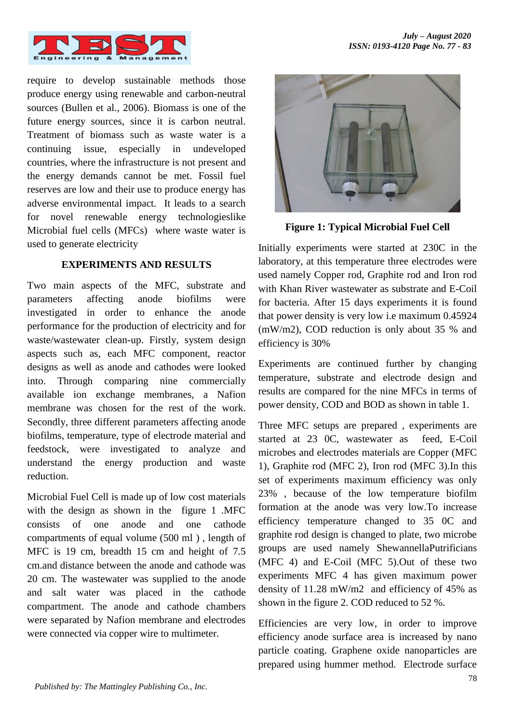

require to develop sustainable methods those produce energy using renewable and carbon-neutral sources (Bullen et al., 2006). Biomass is one of the future energy sources, since it is carbon neutral. Treatment of biomass such as waste water is a continuing issue, especially in undeveloped countries, where the infrastructure is not present and the energy demands cannot be met. Fossil fuel reserves are low and their use to produce energy has adverse environmental impact. It leads to a search for novel renewable energy technologieslike Microbial fuel cells (MFCs) where waste water is used to generate electricity

#### **EXPERIMENTS AND RESULTS**

Two main aspects of the MFC, substrate and parameters affecting anode biofilms were investigated in order to enhance the anode performance for the production of electricity and for waste/wastewater clean-up. Firstly, system design aspects such as, each MFC component, reactor designs as well as anode and cathodes were looked into. Through comparing nine commercially available ion exchange membranes, a Nafion membrane was chosen for the rest of the work. Secondly, three different parameters affecting anode biofilms, temperature, type of electrode material and feedstock, were investigated to analyze and understand the energy production and waste reduction.

Microbial Fuel Cell is made up of low cost materials with the design as shown in the figure 1 .MFC consists of one anode and one cathode compartments of equal volume (500 ml ) , length of MFC is 19 cm, breadth 15 cm and height of 7.5 cm.and distance between the anode and cathode was 20 cm. The wastewater was supplied to the anode and salt water was placed in the cathode compartment. The anode and cathode chambers were separated by Nafion membrane and electrodes were connected via copper wire to multimeter.



**Figure 1: Typical Microbial Fuel Cell**

Initially experiments were started at 230C in the laboratory, at this temperature three electrodes were used namely Copper rod, Graphite rod and Iron rod with Khan River wastewater as substrate and E-Coil for bacteria. After 15 days experiments it is found that power density is very low i.e maximum 0.45924 (mW/m2), COD reduction is only about 35 % and efficiency is 30%

Experiments are continued further by changing temperature, substrate and electrode design and results are compared for the nine MFCs in terms of power density, COD and BOD as shown in table 1.

Three MFC setups are prepared , experiments are started at 23 0C, wastewater as feed, E-Coil microbes and electrodes materials are Copper (MFC 1), Graphite rod (MFC 2), Iron rod (MFC 3).In this set of experiments maximum efficiency was only 23% , because of the low temperature biofilm formation at the anode was very low.To increase efficiency temperature changed to 35 0C and graphite rod design is changed to plate, two microbe groups are used namely ShewannellaPutrificians (MFC 4) and E-Coil (MFC 5).Out of these two experiments MFC 4 has given maximum power density of 11.28 mW/m2 and efficiency of 45% as shown in the figure 2. COD reduced to 52 %.

Efficiencies are very low, in order to improve efficiency anode surface area is increased by nano particle coating. Graphene oxide nanoparticles are prepared using hummer method. Electrode surface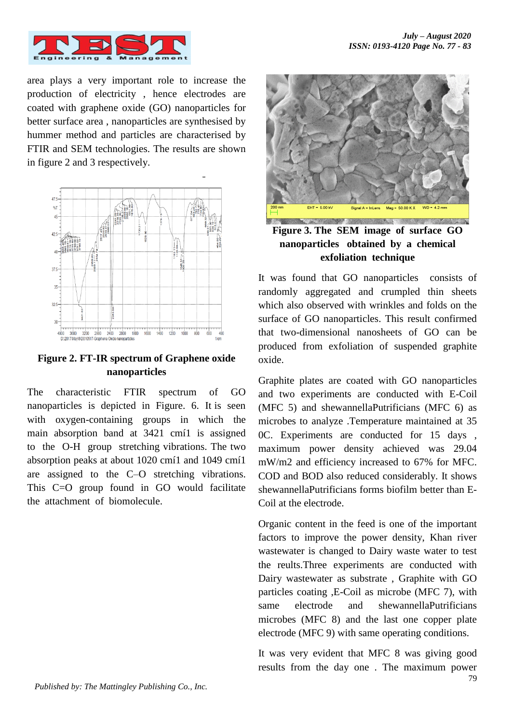

area plays a very important role to increase the production of electricity , hence electrodes are coated with graphene oxide (GO) nanoparticles for better surface area , nanoparticles are synthesised by hummer method and particles are characterised by FTIR and SEM technologies. The results are shown in figure 2 and 3 respectively.



**Figure 2. FT-IR spectrum of Graphene oxide nanoparticles**

The characteristic FTIR spectrum of GO nanoparticles is depicted in Figure. 6. It is seen with oxygen-containing groups in which the main absorption band at 3421 cmí1 is assigned to the O-H group stretching vibrations. The two absorption peaks at about 1020 cmí1 and 1049 cmí1 are assigned to the C–O stretching vibrations. This C=O group found in GO would facilitate the attachment of biomolecule.



**Figure 3. The SEM image of surface GO nanoparticles obtained by a chemical exfoliation technique**

It was found that GO nanoparticles consists of randomly aggregated and crumpled thin sheets which also observed with wrinkles and folds on the surface of GO nanoparticles. This result confirmed that two-dimensional nanosheets of GO can be produced from exfoliation of suspended graphite oxide.

Graphite plates are coated with GO nanoparticles and two experiments are conducted with E-Coil (MFC 5) and shewannellaPutrificians (MFC 6) as microbes to analyze .Temperature maintained at 35 0C. Experiments are conducted for 15 days , maximum power density achieved was 29.04 mW/m2 and efficiency increased to 67% for MFC. COD and BOD also reduced considerably. It shows shewannellaPutrificians forms biofilm better than E-Coil at the electrode.

Organic content in the feed is one of the important factors to improve the power density, Khan river wastewater is changed to Dairy waste water to test the reults.Three experiments are conducted with Dairy wastewater as substrate , Graphite with GO particles coating ,E-Coil as microbe (MFC 7), with same electrode and shewannellaPutrificians microbes (MFC 8) and the last one copper plate electrode (MFC 9) with same operating conditions.

It was very evident that MFC 8 was giving good results from the day one . The maximum power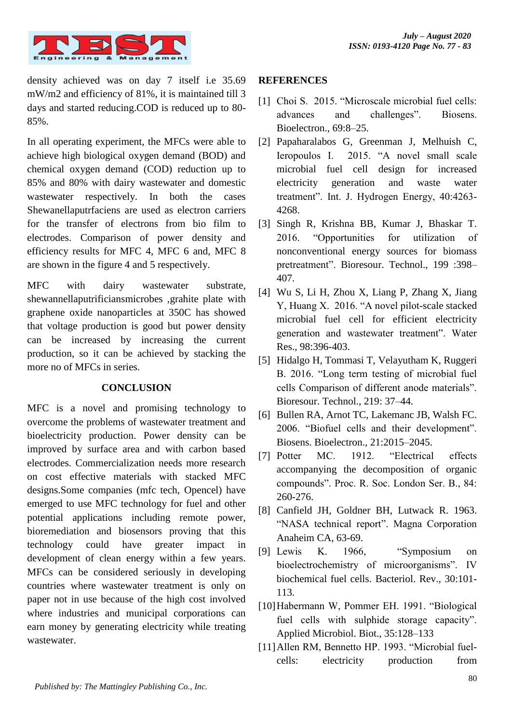

density achieved was on day 7 itself i.e 35.69 mW/m2 and efficiency of 81%, it is maintained till 3 days and started reducing.COD is reduced up to 80- 85%.

In all operating experiment, the MFCs were able to achieve high biological oxygen demand (BOD) and chemical oxygen demand (COD) reduction up to 85% and 80% with dairy wastewater and domestic wastewater respectively. In both the cases Shewanellaputrfaciens are used as electron carriers for the transfer of electrons from bio film to electrodes. Comparison of power density and efficiency results for MFC 4, MFC 6 and, MFC 8 are shown in the figure 4 and 5 respectively.

MFC with dairy wastewater substrate, shewannellaputrificiansmicrobes ,grahite plate with graphene oxide nanoparticles at 350C has showed that voltage production is good but power density can be increased by increasing the current production, so it can be achieved by stacking the more no of MFCs in series.

### **CONCLUSION**

MFC is a novel and promising technology to overcome the problems of wastewater treatment and bioelectricity production. Power density can be improved by surface area and with carbon based electrodes. Commercialization needs more research on cost effective materials with stacked MFC designs.Some companies (mfc tech, Opencel) have emerged to use MFC technology for fuel and other potential applications including remote power, bioremediation and biosensors proving that this technology could have greater impact in development of clean energy within a few years. MFCs can be considered seriously in developing countries where wastewater treatment is only on paper not in use because of the high cost involved where industries and municipal corporations can earn money by generating electricity while treating wastewater.

### **REFERENCES**

- [1] Choi S. 2015. "Microscale microbial fuel cells: advances and challenges". Biosens. Bioelectron., 69:8–25.
- [2] Papaharalabos G, Greenman J, Melhuish C, Ieropoulos I. 2015. "A novel small scale microbial fuel cell design for increased electricity generation and waste water treatment". Int. J. Hydrogen Energy, 40:4263- 4268.
- [3] Singh R, Krishna BB, Kumar J, Bhaskar T. 2016. "Opportunities for utilization of nonconventional energy sources for biomass pretreatment". Bioresour. Technol., 199 :398– 407.
- [4] Wu S, Li H, Zhou X, Liang P, Zhang X, Jiang Y, Huang X. 2016. "A novel pilot-scale stacked microbial fuel cell for efficient electricity generation and wastewater treatment". Water Res., 98:396-403.
- [5] Hidalgo H, Tommasi T, Velayutham K, Ruggeri B. 2016. "Long term testing of microbial fuel cells Comparison of different anode materials". Bioresour. Technol., 219: 37–44.
- [6] Bullen RA, Arnot TC, Lakemanc JB, Walsh FC. 2006. "Biofuel cells and their development". Biosens. Bioelectron., 21:2015–2045.
- [7] Potter MC. 1912. "Electrical effects accompanying the decomposition of organic compounds". Proc. R. Soc. London Ser. B., 84: 260-276.
- [8] Canfield JH, Goldner BH, Lutwack R. 1963. "NASA technical report". Magna Corporation Anaheim CA, 63-69.
- [9] Lewis K. 1966, "Symposium on bioelectrochemistry of microorganisms". IV biochemical fuel cells. Bacteriol. Rev., 30:101- 113.
- [10]Habermann W, Pommer EH. 1991. "Biological fuel cells with sulphide storage capacity". Applied Microbiol. Biot., 35:128–133
- [11]Allen RM, Bennetto HP. 1993. "Microbial fuelcells: electricity production from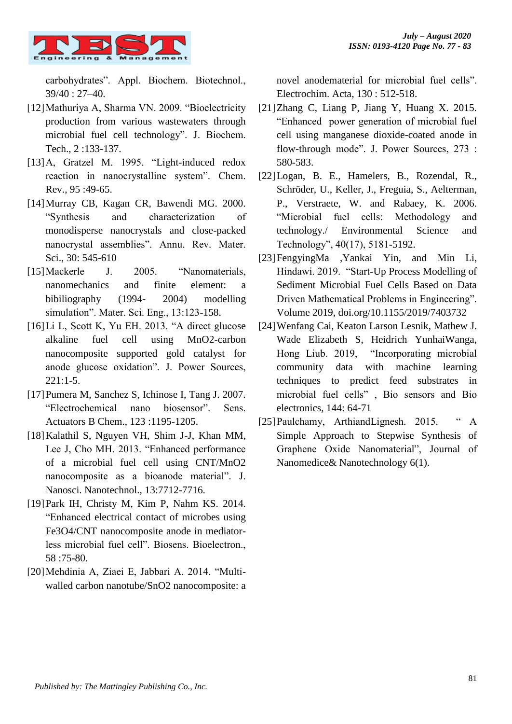

carbohydrates". Appl. Biochem. Biotechnol., 39/40 : 27–40.

- [12]Mathuriya A, Sharma VN. 2009. "Bioelectricity production from various wastewaters through microbial fuel cell technology". J. Biochem. Tech., 2 :133-137.
- [13] A, Gratzel M. 1995. "Light-induced redox reaction in nanocrystalline system". Chem. Rev., 95 :49-65.
- [14]Murray CB, Kagan CR, Bawendi MG. 2000. "Synthesis and characterization of monodisperse nanocrystals and close-packed nanocrystal assemblies". Annu. Rev. Mater. Sci., 30: 545-610
- [15]Mackerle J. 2005. "Nanomaterials, nanomechanics and finite element: a bibiliography (1994- 2004) modelling simulation". Mater. Sci. Eng., 13:123-158.
- [16]Li L, Scott K, Yu EH. 2013. "A direct glucose alkaline fuel cell using MnO2-carbon nanocomposite supported gold catalyst for anode glucose oxidation". J. Power Sources, 221:1-5.
- [17]Pumera M, Sanchez S, Ichinose I, Tang J. 2007. "Electrochemical nano biosensor". Sens. Actuators B Chem., 123 :1195-1205.
- [18]Kalathil S, Nguyen VH, Shim J-J, Khan MM, Lee J, Cho MH. 2013. "Enhanced performance of a microbial fuel cell using CNT/MnO2 nanocomposite as a bioanode material". J. Nanosci. Nanotechnol., 13:7712-7716.
- [19]Park IH, Christy M, Kim P, Nahm KS. 2014. "Enhanced electrical contact of microbes using Fe3O4/CNT nanocomposite anode in mediatorless microbial fuel cell". Biosens. Bioelectron., 58 :75-80.
- [20]Mehdinia A, Ziaei E, Jabbari A. 2014. "Multiwalled carbon nanotube/SnO2 nanocomposite: a

novel anodematerial for microbial fuel cells". Electrochim. Acta, 130 : 512-518.

- [21]Zhang C, Liang P, Jiang Y, Huang X. 2015. "Enhanced power generation of microbial fuel cell using manganese dioxide-coated anode in flow-through mode". J. Power Sources, 273 : 580-583.
- [22]Logan, B. E., Hamelers, B., Rozendal, R., Schröder, U., Keller, J., Freguia, S., Aelterman, P., Verstraete, W. and Rabaey, K. 2006. "Microbial fuel cells: Methodology and technology./ Environmental Science and Technology", 40(17), 5181-5192.
- [23]FengyingMa ,Yankai Yin, and Min Li, Hindawi. 2019. "Start-Up Process Modelling of Sediment Microbial Fuel Cells Based on Data Driven Mathematical Problems in Engineering". Volume 2019, doi.org/10.1155/2019/7403732
- [24]Wenfang Cai, Keaton Larson Lesnik, Mathew J. Wade Elizabeth S, Heidrich YunhaiWanga, Hong Liub. 2019, "Incorporating microbial community data with machine learning techniques to predict feed substrates in microbial fuel cells" , Bio sensors and Bio electronics, 144: 64-71
- [25] Paulchamy, ArthiandLignesh. 2015. "A Simple Approach to Stepwise Synthesis of Graphene Oxide Nanomaterial", Journal of Nanomedice& Nanotechnology 6(1).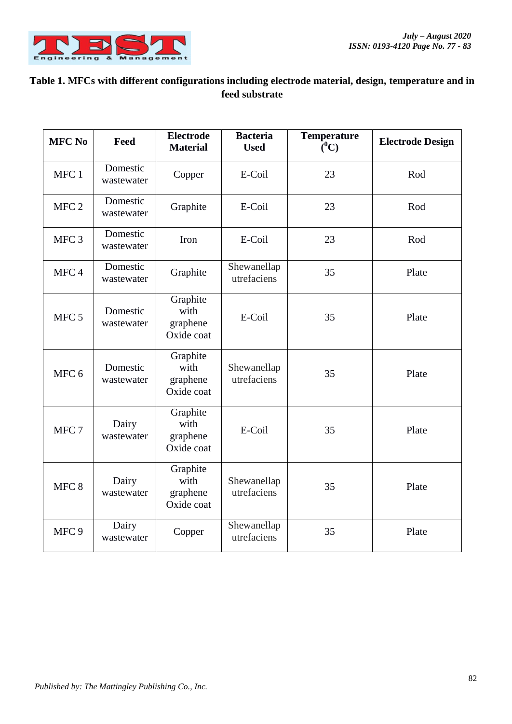

## **Table 1. MFCs with different configurations including electrode material, design, temperature and in feed substrate**

| <b>MFC No</b>    | Feed                   | <b>Electrode</b><br><b>Material</b>        | <b>Bacteria</b><br><b>Used</b> | <b>Temperature</b><br>$(^0C)$ | <b>Electrode Design</b> |
|------------------|------------------------|--------------------------------------------|--------------------------------|-------------------------------|-------------------------|
| MFC 1            | Domestic<br>wastewater | Copper                                     | E-Coil                         | 23                            | Rod                     |
| MFC <sub>2</sub> | Domestic<br>wastewater | Graphite                                   | E-Coil                         | 23                            | Rod                     |
| MFC <sub>3</sub> | Domestic<br>wastewater | Iron                                       | E-Coil                         | 23                            | Rod                     |
| MFC <sub>4</sub> | Domestic<br>wastewater | Graphite                                   | Shewanellap<br>utrefaciens     | 35                            | Plate                   |
| MFC <sub>5</sub> | Domestic<br>wastewater | Graphite<br>with<br>graphene<br>Oxide coat | E-Coil                         | 35                            | Plate                   |
| MFC <sub>6</sub> | Domestic<br>wastewater | Graphite<br>with<br>graphene<br>Oxide coat | Shewanellap<br>utrefaciens     | 35                            | Plate                   |
| MFC <sub>7</sub> | Dairy<br>wastewater    | Graphite<br>with<br>graphene<br>Oxide coat | E-Coil                         | 35                            | Plate                   |
| MFC <sub>8</sub> | Dairy<br>wastewater    | Graphite<br>with<br>graphene<br>Oxide coat | Shewanellap<br>utrefaciens     | 35                            | Plate                   |
| MFC <sub>9</sub> | Dairy<br>wastewater    | Copper                                     | Shewanellap<br>utrefaciens     | 35                            | Plate                   |